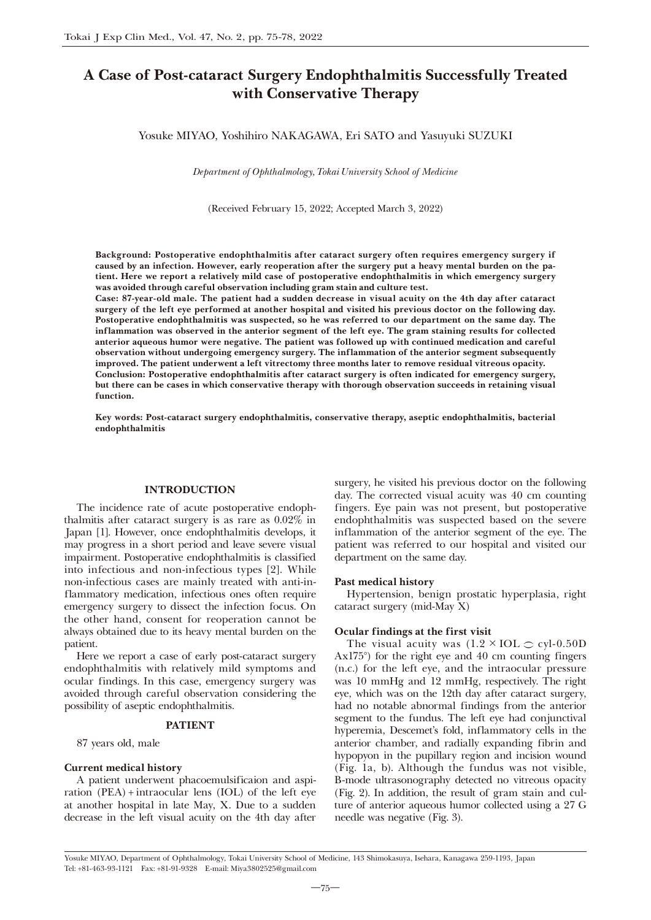# A Case of Post-cataract Surgery Endophthalmitis Successfully Treated with Conservative Therapy

Yosuke MIYAO, Yoshihiro NAKAGAWA, Eri SATO and Yasuyuki SUZUKI

*Department of Ophthalmology, Tokai University School of Medicine*

(Received February 15, 2022; Accepted March 3, 2022)

Background: Postoperative endophthalmitis after cataract surgery often requires emergency surgery if caused by an infection. However, early reoperation after the surgery put a heavy mental burden on the patient. Here we report a relatively mild case of postoperative endophthalmitis in which emergency surgery was avoided through careful observation including gram stain and culture test.

Case: 87-year-old male. The patient had a sudden decrease in visual acuity on the 4th day after cataract surgery of the left eye performed at another hospital and visited his previous doctor on the following day. Postoperative endophthalmitis was suspected, so he was referred to our department on the same day. The inflammation was observed in the anterior segment of the left eye. The gram staining results for collected anterior aqueous humor were negative. The patient was followed up with continued medication and careful observation without undergoing emergency surgery. The inflammation of the anterior segment subsequently improved. The patient underwent a left vitrectomy three months later to remove residual vitreous opacity. Conclusion: Postoperative endophthalmitis after cataract surgery is often indicated for emergency surgery, but there can be cases in which conservative therapy with thorough observation succeeds in retaining visual function.

Key words: Post-cataract surgery endophthalmitis, conservative therapy, aseptic endophthalmitis, bacterial endophthalmitis

### INTRODUCTION

The incidence rate of acute postoperative endophthalmitis after cataract surgery is as rare as 0.02% in Japan [1]. However, once endophthalmitis develops, it may progress in a short period and leave severe visual impairment. Postoperative endophthalmitis is classified into infectious and non-infectious types [2]. While non-infectious cases are mainly treated with anti-inflammatory medication, infectious ones often require emergency surgery to dissect the infection focus. On the other hand, consent for reoperation cannot be always obtained due to its heavy mental burden on the patient.

Here we report a case of early post-cataract surgery endophthalmitis with relatively mild symptoms and ocular findings. In this case, emergency surgery was avoided through careful observation considering the possibility of aseptic endophthalmitis.

### PATIENT

87 years old, male

#### Current medical history

A patient underwent phacoemulsificaion and aspiration (PEA) + intraocular lens (IOL) of the left eye at another hospital in late May, X. Due to a sudden decrease in the left visual acuity on the 4th day after

surgery, he visited his previous doctor on the following day. The corrected visual acuity was 40 cm counting fingers. Eye pain was not present, but postoperative endophthalmitis was suspected based on the severe inflammation of the anterior segment of the eye. The patient was referred to our hospital and visited our department on the same day.

### Past medical history

Hypertension, benign prostatic hyperplasia, right cataract surgery (mid-May X)

## Ocular findings at the first visit

The visual acuity was  $(1.2 \times IOL \t CV1-0.50D)$ Ax175°) for the right eye and 40 cm counting fingers (n.c.) for the left eye, and the intraocular pressure was 10 mmHg and 12 mmHg, respectively. The right eye, which was on the 12th day after cataract surgery, had no notable abnormal findings from the anterior segment to the fundus. The left eye had conjunctival hyperemia, Descemet's fold, inflammatory cells in the anterior chamber, and radially expanding fibrin and hypopyon in the pupillary region and incision wound (Fig. 1a, b). Although the fundus was not visible, B-mode ultrasonography detected no vitreous opacity (Fig. 2). In addition, the result of gram stain and culture of anterior aqueous humor collected using a 27 G needle was negative (Fig. 3).

Yosuke MIYAO, Department of Ophthalmology, Tokai University School of Medicine, 143 Shimokasuya, Isehara, Kanagawa 259-1193, Japan Tel: +81-463-93-1121 Fax: +81-91-9328 E-mail: Miya3802525@gmail.com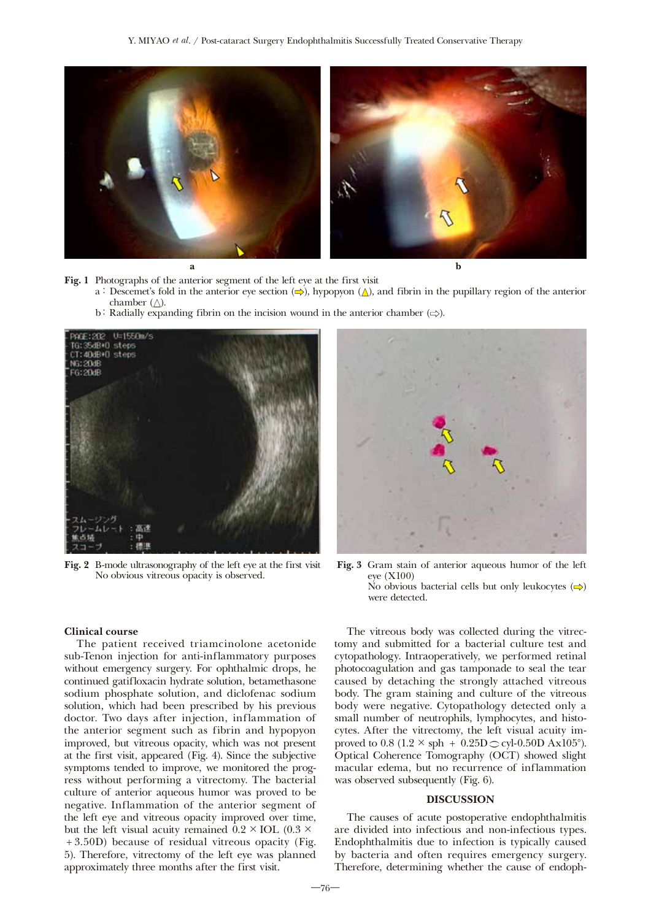

Fig. 1 Photographs of the anterior segment of the left eye at the first visit

- a: Descemet's fold in the anterior eye section  $(\Rightarrow)$ , hypopyon  $(\triangle)$ , and fibrin in the pupillary region of the anterior chamber  $(\triangle)$ .
	- b: Radially expanding fibrin on the incision wound in the anterior chamber  $(\Rightarrow)$ .



Fig. 2 B-mode ultrasonography of the left eye at the first visit No obvious vitreous opacity is observed.



Fig. 3 Gram stain of anterior aqueous humor of the left eye (X100) No obvious bacterial cells but only leukocytes  $(\Rightarrow)$ were detected.

#### Clinical course

The patient received triamcinolone acetonide sub-Tenon injection for anti-inflammatory purposes without emergency surgery. For ophthalmic drops, he continued gatifloxacin hydrate solution, betamethasone sodium phosphate solution, and diclofenac sodium solution, which had been prescribed by his previous doctor. Two days after injection, inflammation of the anterior segment such as fibrin and hypopyon improved, but vitreous opacity, which was not present at the first visit, appeared (Fig. 4). Since the subjective symptoms tended to improve, we monitored the progress without performing a vitrectomy. The bacterial culture of anterior aqueous humor was proved to be negative. Inflammation of the anterior segment of the left eye and vitreous opacity improved over time, but the left visual acuity remained  $0.2 \times IOL$  (0.3  $\times$ + 3.50D) because of residual vitreous opacity (Fig. 5). Therefore, vitrectomy of the left eye was planned approximately three months after the first visit.

The vitreous body was collected during the vitrectomy and submitted for a bacterial culture test and cytopathology. Intraoperatively, we performed retinal photocoagulation and gas tamponade to seal the tear caused by detaching the strongly attached vitreous body. The gram staining and culture of the vitreous body were negative. Cytopathology detected only a small number of neutrophils, lymphocytes, and histocytes. After the vitrectomy, the left visual acuity improved to 0.8 (1.2  $\times$  sph + 0.25D  $\sim$  cyl-0.50D Ax105°). Optical Coherence Tomography (OCT) showed slight macular edema, but no recurrence of inflammation was observed subsequently (Fig. 6).

#### DISCUSSION

The causes of acute postoperative endophthalmitis are divided into infectious and non-infectious types. Endophthalmitis due to infection is typically caused by bacteria and often requires emergency surgery. Therefore, determining whether the cause of endoph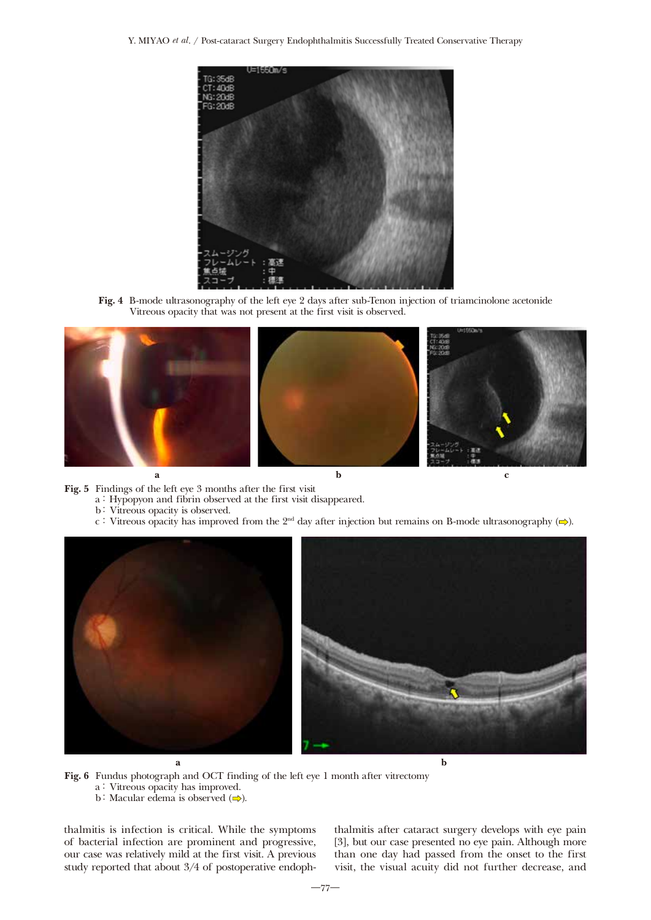Y. MIYAO *et al*. / Post-cataract Surgery Endophthalmitis Successfully Treated Conservative Therapy



Fig. 4 B-mode ultrasonography of the left eye 2 days after sub-Tenon injection of triamcinolone acetonide Vitreous opacity that was not present at the first visit is observed.



- Fig. 5 Findings of the left eye 3 months after the first visit
	- a: Hypopyon and fibrin observed at the first visit disappeared.
	- b: Vitreous opacity is observed.
	- c: Vitreous opacity has improved from the 2<sup>nd</sup> day after injection but remains on B-mode ultrasonography  $(\Rightarrow)$ .



- Fig. 6 Fundus photograph and OCT finding of the left eye 1 month after vitrectomy
	- a: Vitreous opacity has improved.
	- b: Macular edema is observed  $\implies$ ).

thalmitis is infection is critical. While the symptoms of bacterial infection are prominent and progressive, our case was relatively mild at the first visit. A previous study reported that about 3/4 of postoperative endophthalmitis after cataract surgery develops with eye pain [3], but our case presented no eye pain. Although more than one day had passed from the onset to the first visit, the visual acuity did not further decrease, and